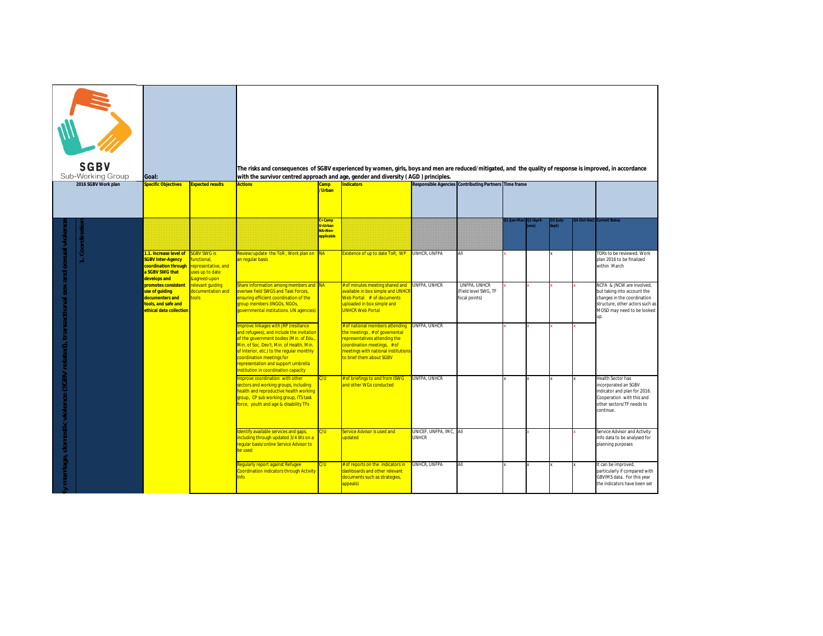| <b>SGBV</b><br>Sub-Working Group<br>Goal:<br>2016 SGBV Work plan<br>Specific Objectives<br><b>Expected results</b> |  |                                                                                                                                               | The risks and consequences of SGBV experienced by women, girls, boys and men are reduced/mitigated, and the quality of response is improved, in accordance<br>with the survivor centred approach and age, gender and diversity (AGD) principles.<br><b>Actions</b> | Camp<br>/Urban                                                                                                                                                                                                                                                                                                                                                                                                                                                                              | <b>Indicators</b>                                |                                                                                                                                                                                                                                                                                                                                                                | Responsible Agencies Contributing Partners Time frame |                                                              |  |     |             |                                                                                                                                                                 |
|--------------------------------------------------------------------------------------------------------------------|--|-----------------------------------------------------------------------------------------------------------------------------------------------|--------------------------------------------------------------------------------------------------------------------------------------------------------------------------------------------------------------------------------------------------------------------|---------------------------------------------------------------------------------------------------------------------------------------------------------------------------------------------------------------------------------------------------------------------------------------------------------------------------------------------------------------------------------------------------------------------------------------------------------------------------------------------|--------------------------------------------------|----------------------------------------------------------------------------------------------------------------------------------------------------------------------------------------------------------------------------------------------------------------------------------------------------------------------------------------------------------------|-------------------------------------------------------|--------------------------------------------------------------|--|-----|-------------|-----------------------------------------------------------------------------------------------------------------------------------------------------------------|
|                                                                                                                    |  | 1.1. Increase level of<br><b>SGBV Inter-Agency</b><br>coordination through                                                                    | <b>GBV SWG is</b><br>unctional,<br>representative, and                                                                                                                                                                                                             | Review/update_the ToR, Work plan on NA<br>an regular basis                                                                                                                                                                                                                                                                                                                                                                                                                                  | $=$ Camp<br>J=Urban<br>$NA = Non-$<br>applicable | Existence of up to date ToR, WP                                                                                                                                                                                                                                                                                                                                | UNHCR, UNFPA                                          | АII                                                          |  | ot) | 4 (Oct-Dec) | <b>Irrent Status</b><br>TORs to be reviewed. Work<br>plan 2016 to be finalized<br>within March                                                                  |
| marriage, domestic violence (SGBV related), transactional sex and sexual violence                                  |  | a SGBV SWG that<br>develops and<br>promotes consistent<br>use of guiding<br>documenters and<br>tools, and safe and<br>ethical data collection | uses up to date<br>&agreed-upon<br>relevant quiding<br>documentation and<br><b>tools</b>                                                                                                                                                                           | Share information among members and<br>oversee field SWGS and Task Forces,<br>ensuring efficient coordination of the<br>group members (INGOs, NGOs,<br>governmental institutions, UN agencies)<br>Improve linkages with JRP (resiliance<br>and refugees), and include the invitation<br>of the government bodies (Min. of Edu.,<br>Min. of Soc. Dev't, Min. of Health, Min.<br>of Interior, etc.) to the regular monthly<br>coordination meetings for<br>epresentation and support umbrella | <b>NA</b>                                        | # of minutes meeting shared and<br>available in box simple and UNHCI<br>Web Portal # of documents<br>uploaded in box simple and<br><b>UNHCR Web Portal</b><br># of national members attending<br>he meetings, # of govemental<br>epresentatives attending the<br>coordination meetings, # of<br>meetings with national institution<br>to brief them about SGBV | UNFPA, UNHCR<br>UNFPA, UNHCR                          | <b>UNFPA, UNHCR</b><br>(Field level SWG, TF<br>focal points) |  |     |             | NCFA & JNCW are involved,<br>but taking into account the<br>changes in the coordination<br>structure, other actors such as<br>MOSD may need to be looked<br>up. |
|                                                                                                                    |  |                                                                                                                                               |                                                                                                                                                                                                                                                                    | institution in coordination capacity<br>Improve coordination with other<br>sectors and working groups, including<br>health and reproductive health working<br>group, CP sub working group, ITS task<br>force, youth and age & disability TFs                                                                                                                                                                                                                                                | W.                                               | of briefings to and from ISWG<br>and other WGs conducted                                                                                                                                                                                                                                                                                                       | UNFPA, UNHCR                                          |                                                              |  |     |             | <b>Health Sector has</b><br>incorporated an SGBV<br>indicator and plan for 2016.<br>Cooperation with this and<br>other sectors/TF needs to<br>continue.         |
|                                                                                                                    |  |                                                                                                                                               |                                                                                                                                                                                                                                                                    | dentify available services and gaps,<br>including through updated 3/4 Ws on a<br>regular basis/online Service Advisor to<br>be used                                                                                                                                                                                                                                                                                                                                                         | :/U                                              | <b>Service Advisor is used and</b><br><b>updated</b>                                                                                                                                                                                                                                                                                                           | UNICEF, UNFPA, IMC, All<br><b>UNHCR</b>               |                                                              |  |     |             | Service Advisor and Activity<br>Info data to be analysed for<br>planning purposes                                                                               |
|                                                                                                                    |  |                                                                                                                                               |                                                                                                                                                                                                                                                                    | Regularly report against Refugee<br>Coordination indicators through Activity<br>nfo                                                                                                                                                                                                                                                                                                                                                                                                         | S<br>S                                           | of reports on the indicators in<br>dashboards and other relevant<br>documents such as strategies,<br>appeals)                                                                                                                                                                                                                                                  | UNHCR, UNFPA                                          | All                                                          |  |     |             | It can be improved,<br>particularly if compared with<br>GBVIMS data. For this year<br>the indicators have been set                                              |
|                                                                                                                    |  |                                                                                                                                               |                                                                                                                                                                                                                                                                    |                                                                                                                                                                                                                                                                                                                                                                                                                                                                                             |                                                  |                                                                                                                                                                                                                                                                                                                                                                |                                                       |                                                              |  |     |             |                                                                                                                                                                 |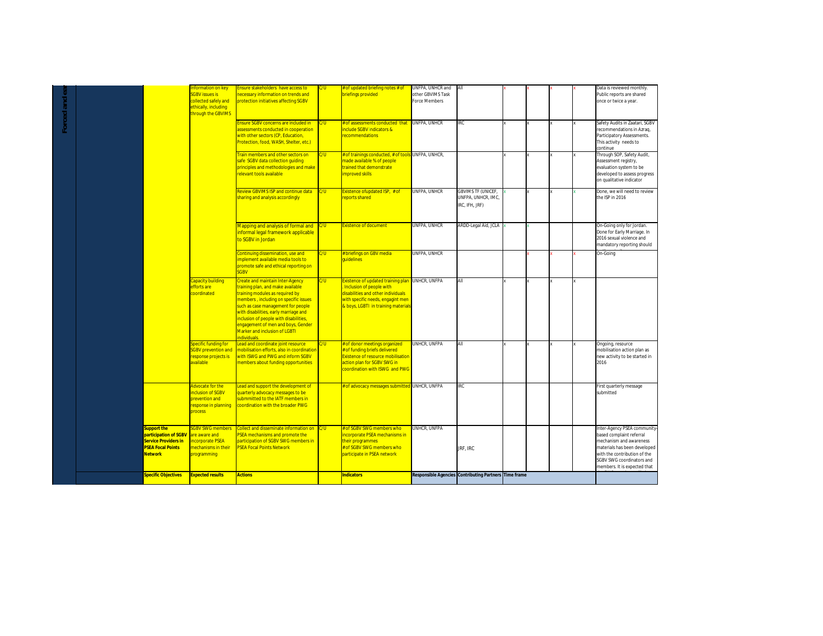| Forced and ea |                                                                                                                          | nformation on key<br><b>SGBV issues is</b><br>collected safely and<br>ethically, including<br>hrough the GBVIMS | Ensure stakeholders have access to<br>necessary information on trends and<br>protection initiatives affecting SGBV                                                                                                                                                                                                           | C/U       | of updated briefing notes # of<br>priefings provided                                                                                                                     | UNFPA, UNHCR and<br>other GBVIMS Task<br>Force Members | All                                                               |  |  | Data is reviewed monthly.<br>Public reports are shared<br>once or twice a year.                                                                                                                                 |
|---------------|--------------------------------------------------------------------------------------------------------------------------|-----------------------------------------------------------------------------------------------------------------|------------------------------------------------------------------------------------------------------------------------------------------------------------------------------------------------------------------------------------------------------------------------------------------------------------------------------|-----------|--------------------------------------------------------------------------------------------------------------------------------------------------------------------------|--------------------------------------------------------|-------------------------------------------------------------------|--|--|-----------------------------------------------------------------------------------------------------------------------------------------------------------------------------------------------------------------|
|               |                                                                                                                          |                                                                                                                 | Ensure SGBV concerns are included in<br>assessments conducted in cooperation<br>with other sectors (CP, Education,<br>Protection, food, WASH, Shelter, etc.)                                                                                                                                                                 | C/U       | # of assessments conducted that<br>include SGBV indicators &<br>recommendations                                                                                          | UNFPA, UNHCR                                           | IRC                                                               |  |  | Safety Audits in Zaatari, SGBV<br>recommendations in Azraq,<br>Participatory Assessments.<br>This activity needs to<br>continue                                                                                 |
|               |                                                                                                                          |                                                                                                                 | Train members and other sectors on<br>safe SGBV data collection guiding<br>principles and methodologies and make<br>relevant tools available                                                                                                                                                                                 | C/U       | # of trainings conducted, # of tools UNFPA, UNHCR,<br>nade available % of people<br>trained that demonstrate<br>mproved skills                                           |                                                        |                                                                   |  |  | Through SOP, Safety Audit,<br>Assessment registry,<br>evaluation system to be<br>developed to assess progress<br>on qualitative indicator                                                                       |
|               |                                                                                                                          |                                                                                                                 | Review GBVIMS ISP and continue data<br>sharing and analysis accordingly                                                                                                                                                                                                                                                      | C/U       | Existence of updated ISP, # of<br>eports shared                                                                                                                          | UNFPA, UNHCR                                           | <b>GBVIMS TF (UNICEF,</b><br>UNFPA, UNHCR, IMC,<br>IRC, IFH, JRF) |  |  | Done, we will need to review<br>the ISP in 2016                                                                                                                                                                 |
|               |                                                                                                                          |                                                                                                                 | Mapping and analysis of formal and<br>informal legal framework applicable<br>to SGBV in Jordan                                                                                                                                                                                                                               | C/U       | <b>Existence of document</b>                                                                                                                                             | UNFPA, UNHCR                                           | ARDD-Legal Aid, JCLA                                              |  |  | On-Going only for Jordan.<br>Done for Early Marriage. In<br>2016 sexual violence and<br>mandatory reporting should                                                                                              |
|               |                                                                                                                          | Capacity building                                                                                               | Continuing dissemination, use and<br>implement available media tools to<br>promote safe and ethical reporting on<br><b>SGBV</b><br><b>Create and maintain Inter-Agency</b>                                                                                                                                                   | W.<br>C/U | <b>Ebriefings on GBV media</b><br>uidelines<br>Existence of updated training plan UNHCR, UNFPA                                                                           | UNFPA, UNHCR                                           | ΑIΙ                                                               |  |  | On-Going                                                                                                                                                                                                        |
|               |                                                                                                                          | efforts are<br>coordinated                                                                                      | training plan, and make available<br>training modules as required by<br>members, including on specific issues<br>such as case management for people<br>with disabilities, early marriage and<br>inclusion of people with disabilities,<br>engagement of men and boys, Gender<br>Marker and inclusion of LGBTI<br>ndividuals. |           | Inclusion of people with<br>disabilities and other individuals<br>with specific needs, engagint men<br>& boys, LGBTI in training materials                               |                                                        |                                                                   |  |  |                                                                                                                                                                                                                 |
|               |                                                                                                                          | <b>Specific funding for</b><br><b>SGBV</b> prevention and<br>esponse projects is<br>available                   | ead and coordinate joint resource<br>mobilisation efforts, also in coordination<br>with ISWG and PWG and inform SGBV<br>members about funding opportunities                                                                                                                                                                  | C/U       | of donor meetings organized<br>of funding briefs delivered<br><b>Existence of resource mobilisation</b><br>action plan for SGBV SWG in<br>coordination with ISWG and PWG | UNHCR, UNFPA                                           | All                                                               |  |  | Ongoing, resource<br>mobilisation action plan as<br>new activity to be started in<br>2016                                                                                                                       |
|               |                                                                                                                          | dvocate for the<br><b>inclusion of SGBV</b><br>prevention and<br>response in planning<br>process                | Lead and support the development of<br>quarterly advocacy messages to be<br>submmitted to the IATF members in<br>coordination with the broader PWG                                                                                                                                                                           |           | f of advocacy messages submitted UNHCR, UNFPA                                                                                                                            |                                                        | IRC                                                               |  |  | First quarterly message<br>submitted                                                                                                                                                                            |
|               | <b>Support the</b><br>participation of SGBV<br><b>Service Providers in</b><br><b>PSEA Focal Points</b><br><b>Network</b> | <b>SGBV SWG members</b><br>are aware and<br><b>Incorporate PSEA</b><br>mechanisms in their<br>programming       | Collect and disseminate information on C/U<br>PSEA mechanisms and promote the<br>participation of SGBV SWG members in<br><b>PSEA Focal Points Network</b>                                                                                                                                                                    |           | # of SGBV SWG members who<br>incorporate PSEA mechanisms in<br>their programmes<br>of SGBV SWG members who<br>participate in PSEA network                                | unhcr, unfpa                                           | JRF, IRC                                                          |  |  | Inter-Agency PSEA community<br>based complaint referral<br>mechanism and awareness<br>materials has been developed<br>with the contribution of the<br>SGBV SWG coordinators and<br>members. It is expected that |
|               | <b>Specific Objectives</b>                                                                                               | <b>Expected results</b>                                                                                         | <b>Actions</b>                                                                                                                                                                                                                                                                                                               |           | <b>Indicators</b>                                                                                                                                                        |                                                        | <b>Responsible Agencies Contributing Partners Time frame</b>      |  |  |                                                                                                                                                                                                                 |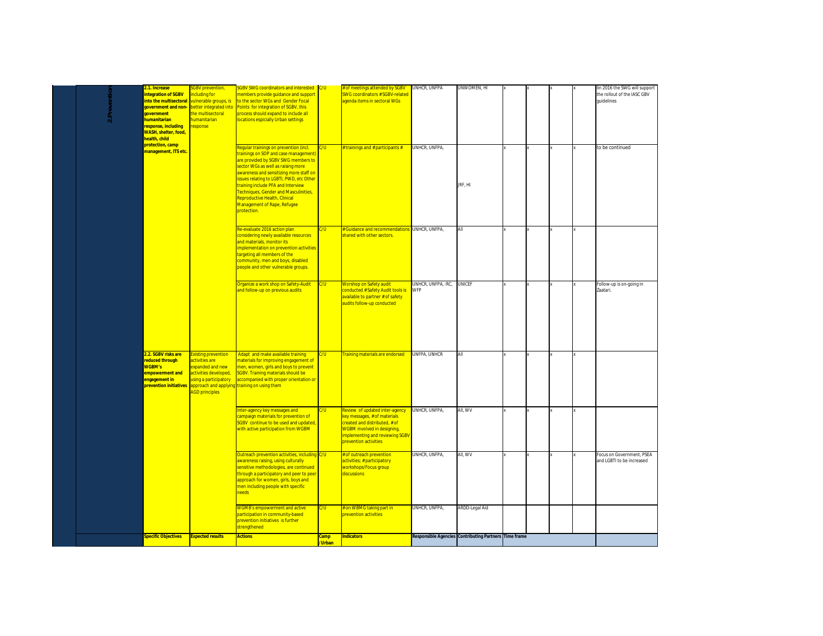|  |              | .1. Increase                                                                                                                                                           | <b>GBV</b> prevention,                                                                                                                                                          | SGBV SWG coordinators and interested C/U                                                                                                                                                                                                                                                                                                                                                                         |               | f of meetings attended by SGBV                                                                                                                                                                          | UNHCR, UNFPA              | UNWOMEN, HI                                           |  |  | lin 2016 the SWG will support                          |
|--|--------------|------------------------------------------------------------------------------------------------------------------------------------------------------------------------|---------------------------------------------------------------------------------------------------------------------------------------------------------------------------------|------------------------------------------------------------------------------------------------------------------------------------------------------------------------------------------------------------------------------------------------------------------------------------------------------------------------------------------------------------------------------------------------------------------|---------------|---------------------------------------------------------------------------------------------------------------------------------------------------------------------------------------------------------|---------------------------|-------------------------------------------------------|--|--|--------------------------------------------------------|
|  | 2.Prevention | ntegration of SGBV<br>nto the multisectoral<br>qovernment and non-<br><b>Jovernment</b><br>humanitarian<br>esponse, including<br>WASH, shelter, food,<br>health, child | ncluding for<br>vulnerable groups, is<br>better integrated into<br>the multisectoral<br>numanitarian<br>esponse                                                                 | nembers provide quidance and support<br>to the sector WGs and Gender Focal<br>Points for integration of SGBV, this<br>process should expand to include all<br>locations espicially Urban settings                                                                                                                                                                                                                |               | <b>SWG coordinators # SGBV-related</b><br>agenda items in sectoral WGs                                                                                                                                  |                           |                                                       |  |  | the rollout of the IASC GBV<br>quidelines              |
|  |              | protection, camp<br>management, ITS etc.                                                                                                                               |                                                                                                                                                                                 | Regular trainings on prevention (incl.<br>trainings on SOP and case management)<br>are provided by SGBV SWG members to<br>sector WGs as well as raising more<br>awareness and sensitizing more staff on<br>ssues relating to LGBTI, PWD, etc Other<br>training include PFA and Interview<br>Techniques, Gender and Masculinities,<br>Reproductive Health, Clinical<br>Management of Rape, Refugee<br>protection. | C/U           | <b>Example 1</b> trainings and # participants #                                                                                                                                                         | UNHCR. UNFPA.             | JRF, HI                                               |  |  | to be continued                                        |
|  |              |                                                                                                                                                                        |                                                                                                                                                                                 | Re-evaluate 2016 action plan<br>considering newly available resources<br>and materials, monitor its<br>implementation on prevention activities<br>targeting all members of the<br>community, men and boys, disabled<br>beople and other vulnerable groups.                                                                                                                                                       | C/U           | <b>Guidance and recommendations</b><br>hared with other sectors.                                                                                                                                        | UNHCR, UNFPA,             |                                                       |  |  |                                                        |
|  |              |                                                                                                                                                                        |                                                                                                                                                                                 | Organize a work shop on Safety-Audit<br>ind follow-up on previous audits                                                                                                                                                                                                                                                                                                                                         | C/U           | <b>Norshop on Safety audit</b><br>conducted # Safety Audit tools is<br>available to partner # of safety<br>audits follow-up conducted                                                                   | UNHCR, UNFPA, IRC,<br>WFP | <b>UNICEF</b>                                         |  |  | Follow-up is on-going in<br>Zaatari.                   |
|  |              | 2.2. SGBV risks are<br>educed through<br><b>NGBM's</b><br>empowerment and<br>engagement in<br>prevention initiatives                                                   | xisting prevention<br>ctivities are<br>xpanded and new<br>ctivities developed.<br>ising a participatory<br>approach and applying training on using them<br><b>GD principles</b> | Adapt and make available training<br>materials for improving engagement of<br>men, women, girls and boys to prevent<br>SGBV. Training materials should be<br>accompanied with proper orientation or                                                                                                                                                                                                              | C/U           | <b>Fraining materials are endorsed</b>                                                                                                                                                                  | UNFPA, UNHCR              |                                                       |  |  |                                                        |
|  |              |                                                                                                                                                                        |                                                                                                                                                                                 | nter-agency key messages and<br>ampaign materials for prevention of<br><b>SGBV</b> continue to be used and updated,<br>with active participation from WGBM                                                                                                                                                                                                                                                       | :/U           | eview of updated inter-agency<br>key messages, # of materials<br>created and distributed, # of<br><b>WGBM involved in designing,</b><br><b>implementing and reviewing SGBV</b><br>prevention activities | UNHCR, UNFPA,             | aii, wv                                               |  |  |                                                        |
|  |              |                                                                                                                                                                        |                                                                                                                                                                                 | <b>Outreach prevention activities, including</b><br>awareness raising, using culturally<br>sensitive methodologies, are continued<br>through a participatory and peer to peer<br>approach for women, girls, boys and<br>men including people with specific<br>needs                                                                                                                                              | C/U           | # of outreach prevention<br>activities; # participatory<br>workshops/Focus group<br>discussions                                                                                                         | UNHCR, UNFPA,             | All, WV                                               |  |  | Focus on Government, PSEA<br>and LGBTI to be increased |
|  |              |                                                                                                                                                                        |                                                                                                                                                                                 | <b>NGMB's empowerment and active</b><br>participation in community-based<br>prevention initiatives is further<br>strengthened                                                                                                                                                                                                                                                                                    | C/U           | on WBMG taking part in<br><b>prevention activities</b>                                                                                                                                                  | UNHCR, UNFPA,             | ARDD-Legal Aid                                        |  |  |                                                        |
|  |              | <mark>Specific Objectives</mark>                                                                                                                                       | <b>Expected results</b>                                                                                                                                                         | <b>Actions</b>                                                                                                                                                                                                                                                                                                                                                                                                   | amp<br>/Urban | <b>Indicators</b>                                                                                                                                                                                       |                           | Responsible Agencies Contributing Partners Time frame |  |  |                                                        |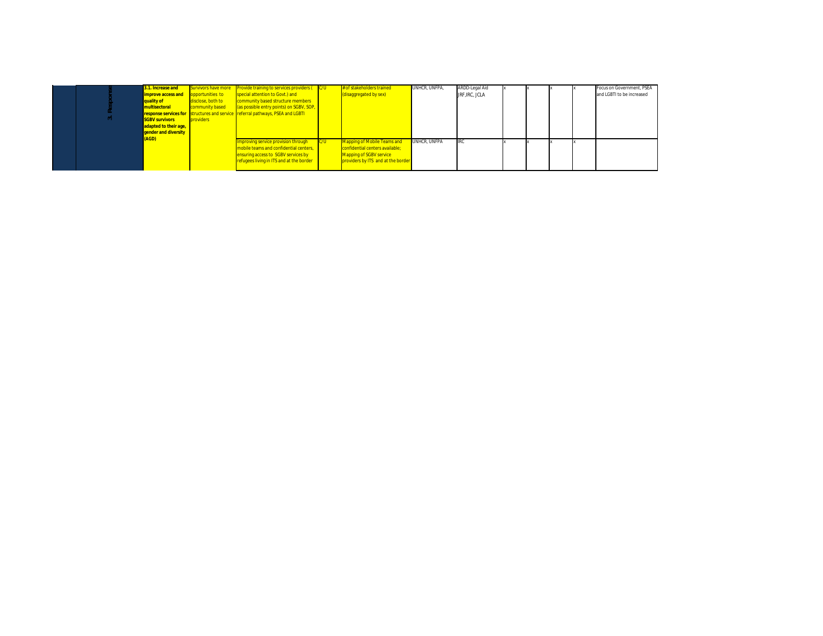| $\sim$ | 3.1. Increase and<br><b>improve access and</b><br>quality of<br>multisectoral<br><b>SGBV survivors</b><br>adapted to their age,<br>gender and diversity | Survivors have more<br>opportunities to<br>disclose, both to<br>community based<br>providers | <b>Provide training to services providers (C/U)</b><br>special attention to Govt.) and<br>community based structure members<br>(as possible entry points) on SGBV, SOP,<br>response services for structures and service referral pathways, PSEA and LGBTI |     | # of stakeholders trained<br>(disaggregated by sex)                                                                                    | UNHCR. UNFPA. | ARDD-Legal Aid<br>JRF, IRC, JCLA |  |  | Focus on Government, PSEA<br>and LGBTI to be increased |
|--------|---------------------------------------------------------------------------------------------------------------------------------------------------------|----------------------------------------------------------------------------------------------|-----------------------------------------------------------------------------------------------------------------------------------------------------------------------------------------------------------------------------------------------------------|-----|----------------------------------------------------------------------------------------------------------------------------------------|---------------|----------------------------------|--|--|--------------------------------------------------------|
|        | (AGD)                                                                                                                                                   |                                                                                              | Improving service provision through<br>mobile teams and confidential centers,<br>ensuring access to SGBV services by<br>refugees living in ITS and at the border                                                                                          | C/U | <b>Mapping of Mobile Teams and</b><br>confidential centers available;<br>Mapping of SGBV service<br>providers by ITS and at the border | UNHCR. UNFPA  | <b>IRC</b>                       |  |  |                                                        |